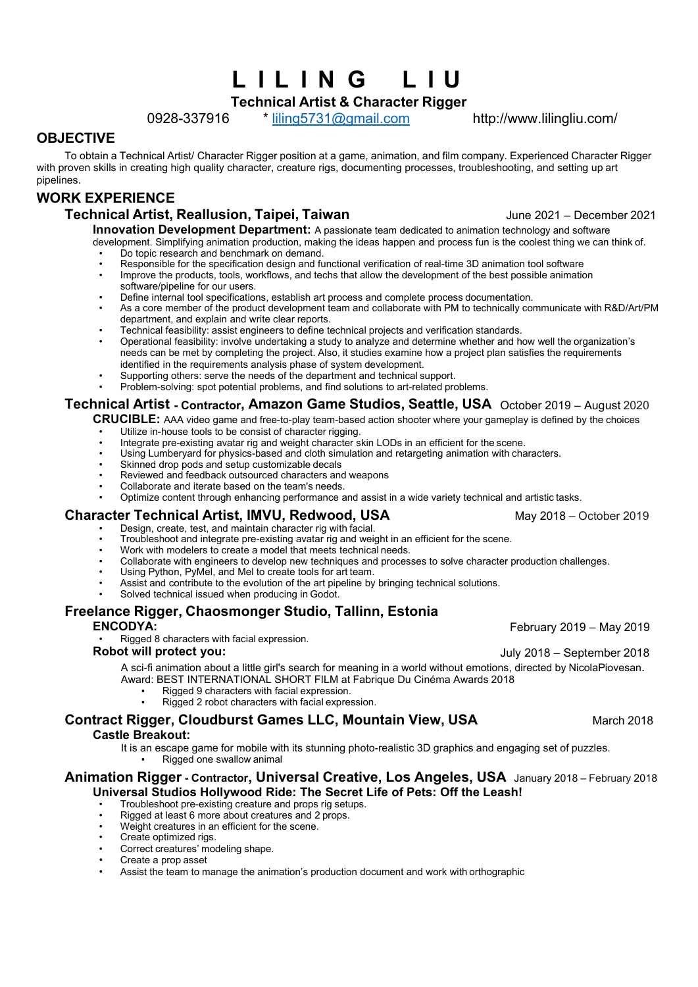# **L I L I N G L I U**

**Technical Artist & Character Rigger**

0928-337916 \* [liling5731@gmail.com](mailto:liling5731@gmail.com) http://www.lilingliu.com/

### **OBJECTIVE**

To obtain a Technical Artist/ Character Rigger position at a game, animation, and film company. Experienced Character Rigger with proven skills in creating high quality character, creature rigs, documenting processes, troubleshooting, and setting up art pipelines.

# **WORK EXPERIENCE**

# **Technical Artist, Reallusion, Taipei, Taiwan** June 2021 – December 2021

**Innovation Development Department:** A passionate team dedicated to animation technology and software development. Simplifying animation production, making the ideas happen and process fun is the coolest thing we can think of.

- Do topic research and benchmark on demand.<br>• Responsible for the specification design and fu
- Responsible for the specification design and functional verification of real-time 3D animation tool software<br>• Improve the products tools workflows and techs that allow the development of the best possible animatic
- Improve the products, tools, workflows, and techs that allow the development of the best possible animation
- software/pipeline for our users.
- Define internal tool specifications, establish art process and complete process documentation.
- As a core member of the product development team and collaborate with PM to technically communicate with R&D/Art/PM department, and explain and write clear reports.
- Technical feasibility: assist engineers to define technical projects and verification standards.
- Operational feasibility: involve undertaking a study to analyze and determine whether and how well the organization's needs can be met by completing the project.Also, it studies examine how a project plan satisfies the requirements identified in the requirements analysis phase of system development.
- Supporting others: serve the needs of the department and technical support.
- Problem-solving: spot potential problems, and find solutions to art-related problems.

## **Technical Artist - Contractor, Amazon Game Studios, Seattle, USA** October 2019 – August 2020

**CRUCIBLE:** AAA video game and free-to-play team-based action shooter where your gameplay is defined by the choices

- Utilize in-house tools to be consist of character rigging.
- Integrate pre-existing avatar rig and weight character skin LODs in an efficient for the scene.
- Using Lumberyard for physics-based and cloth simulation and retargeting animation with characters.
- Skinned drop pods and setup customizable decals
- Reviewed and feedback outsourced characters and weapons
- Collaborate and iterate based on the team's needs.
- Optimize content through enhancing performance and assist in a wide variety technical and artistic tasks.

## **Character Technical Artist, IMVU, Redwood, USA May 2018 – October 2019**

- Design, create, test, and maintain character rig with facial.
- Troubleshoot and integrate pre-existing avatar rig and weight in an efficient for the scene.
- Work with modelers to create a model that meets technical needs.
- Collaborate with engineers to develop new techniques and processes to solve character production challenges.• Using Python, PyMel, and Mel to create tools for art team.
- 
- Assist and contribute to the evolution of the art pipeline by bringing technical solutions.
- Solved technical issued when producing in Godot.

# **Freelance Rigger, Chaosmonger Studio, Tallinn, Estonia**

• Rigged 8 characters with facial expression.

### **Robot will protect you:** July 2018 – September 2018

A sci-fi animation about a little girl's search for meaning in a world without emotions, directed by NicolaPiovesan. Award: BEST INTERNATIONAL SHORT FILM at Fabrique Du Cinéma Awards 2018

- Rigged 9 characters with facial expression.
	- Rigged 2 robot characters with facial expression.

# **Contract Rigger, Cloudburst Games LLC, Mountain View, USA March 2018** March 2018

### **Castle Breakout:**

It is an escape game for mobile with its stunning photo-realistic 3D graphics and engaging set of puzzles. Rigged one swallow animal

### **Animation Rigger - Contractor, Universal Creative, Los Angeles, USA** January 2018 – February 2018 **Universal Studios Hollywood Ride: The Secret Life of Pets: Off the Leash!**

- Troubleshoot pre-existing creature and props rig setups.
- Rigged at least 6 more about creatures and 2 props.
- Weight creatures in an efficient for the scene.
- Create optimized rigs.
- Correct creatures' modeling shape.
- Create a prop asset
- Assist the team to manage the animation's production document and work with orthographic

**ENCODYA:** February 2019 – May 2019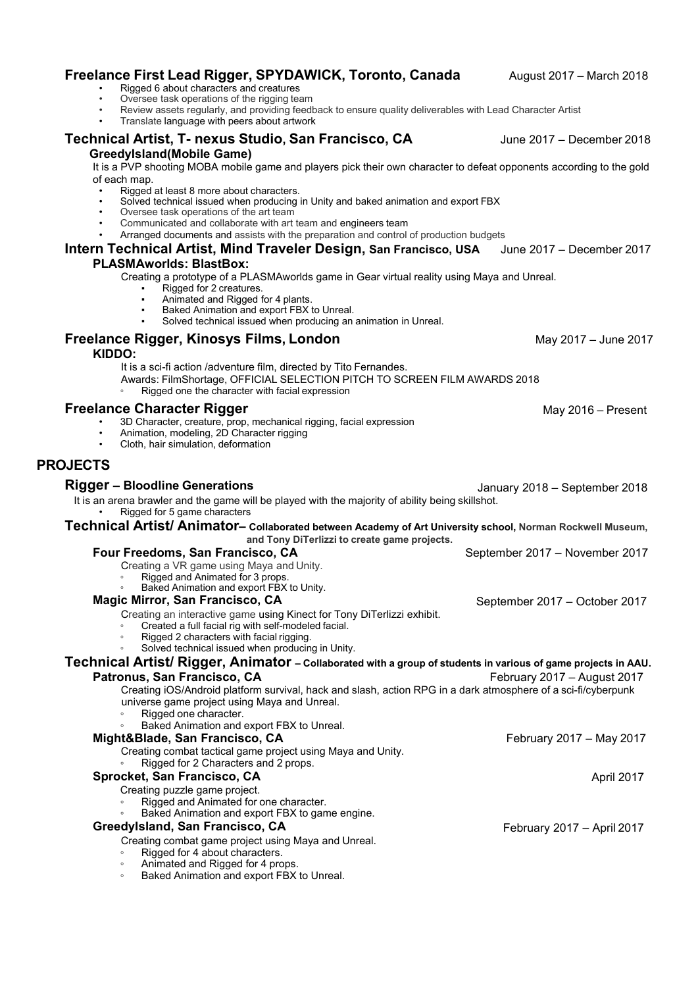| <b>TOOMMOOD AT GOG MINOR THEFOLDI DOORGIT, OUT FRINGSOO, OOA</b><br><b>PLASMAworlds: BlastBox:</b>                                                                                                                                       | $0$ uno $2011$                 |
|------------------------------------------------------------------------------------------------------------------------------------------------------------------------------------------------------------------------------------------|--------------------------------|
| Creating a prototype of a PLASMAworlds game in Gear virtual reality using Maya and Unreal.<br>Rigged for 2 creatures.                                                                                                                    |                                |
| Animated and Rigged for 4 plants.<br>Baked Animation and export FBX to Unreal.<br>Solved technical issued when producing an animation in Unreal.                                                                                         |                                |
| Freelance Rigger, Kinosys Films, London<br>KIDDO:                                                                                                                                                                                        | May 2017 - June 2017           |
| It is a sci-fi action /adventure film, directed by Tito Fernandes.<br>Awards: FilmShortage, OFFICIAL SELECTION PITCH TO SCREEN FILM AWARDS 2018<br>Rigged one the character with facial expression                                       |                                |
| <b>Freelance Character Rigger</b><br>3D Character, creature, prop, mechanical rigging, facial expression<br>Animation, modeling, 2D Character rigging<br>Cloth, hair simulation, deformation                                             | May 2016 - Present             |
| <b>PROJECTS</b>                                                                                                                                                                                                                          |                                |
| <b>Rigger - Bloodline Generations</b>                                                                                                                                                                                                    | January 2018 – September 2018  |
| It is an arena brawler and the game will be played with the majority of ability being skillshot.<br>Rigged for 5 game characters                                                                                                         |                                |
| Technical Artist/ Animator- Collaborated between Academy of Art University school, Norman Rockwell Museum,<br>and Tony DiTerlizzi to create game projects.                                                                               |                                |
| Four Freedoms, San Francisco, CA<br>Creating a VR game using Maya and Unity.<br>Rigged and Animated for 3 props.<br>Baked Animation and export FBX to Unity.                                                                             | September 2017 - November 2017 |
| <b>Magic Mirror, San Francisco, CA</b>                                                                                                                                                                                                   | September 2017 - October 2017  |
| Creating an interactive game using Kinect for Tony DiTerlizzi exhibit.<br>Created a full facial rig with self-modeled facial.<br>Rigged 2 characters with facial rigging.<br>$\circ$<br>Solved technical issued when producing in Unity. |                                |
| Technical Artist/ Rigger, Animator - Collaborated with a group of students in various of game projects in AAU.                                                                                                                           |                                |
| Patronus, San Francisco, CA<br>Creating iOS/Android platform survival, hack and slash, action RPG in a dark atmosphere of a sci-fi/cyberpunk<br>universe game project using Maya and Unreal.<br>Rigged one character.                    | February 2017 - August 2017    |
| Baked Animation and export FBX to Unreal.                                                                                                                                                                                                |                                |
| Might&Blade, San Francisco, CA<br>Creating combat tactical game project using Maya and Unity.<br>Rigged for 2 Characters and 2 props.                                                                                                    | February 2017 - May 2017       |
| Sprocket, San Francisco, CA                                                                                                                                                                                                              | April 2017                     |
| Creating puzzle game project.<br>Rigged and Animated for one character.<br>Baked Animation and export FBX to game engine.                                                                                                                |                                |
| Greedylsland, San Francisco, CA                                                                                                                                                                                                          | February 2017 - April 2017     |
| Creating combat game project using Maya and Unreal.<br>Rigged for 4 about characters.<br>های میکن از استفاده باشد.                                                                                                                       |                                |

- Rigged at least 8 more about characters. • Solved technical issued when producing in Unity and baked animation and export FBX
- 

**GreedyIsland(Mobile Game)**

of each map.

- Oversee task operations of the art team • Communicated and collaborate with art team and engineers team
- Arranged documents and assists with the preparation and control of production budgets

# **Intern Technical Artist, Mind Traveler Design, San Francisco, USA** June 2017 – December 2017

It is a PVP shooting MOBA mobile game and players pick their own character to defeat opponents according to the gold

**Freelance First Lead Rigger, SPYDAWICK, Toronto, Canada** August 2017 – March 2018

- Rigged 6 about characters and creatures
- Oversee task operations of the rigging team
- Review assets regularly, and providing feedback to ensure quality deliverables with Lead Character Artist
- Translate language with peers about artwork

**Technical Artist, T- nexus Studio, San Francisco, CA** June 2017 – December 2018

- 
- Animated and Rigged for 4 props.<br>∂ Baked Animation and export FBX to Unreal.